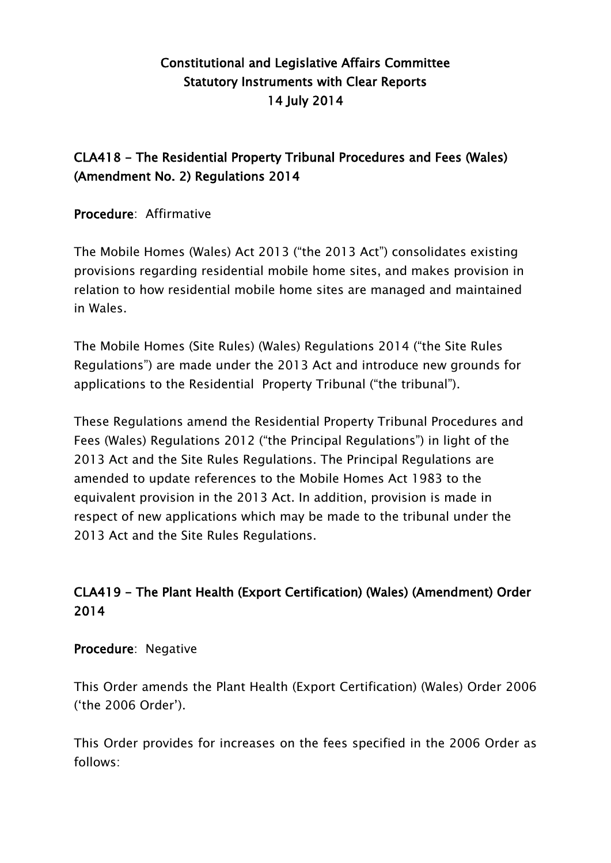# Constitutional and Legislative Affairs Committee Statutory Instruments with Clear Reports 14 July 2014

# CLA418 - The Residential Property Tribunal Procedures and Fees (Wales) (Amendment No. 2) Regulations 2014

Procedure: Affirmative

The Mobile Homes (Wales) Act 2013 ("the 2013 Act") consolidates existing provisions regarding residential mobile home sites, and makes provision in relation to how residential mobile home sites are managed and maintained in Wales.

The Mobile Homes (Site Rules) (Wales) Regulations 2014 ("the Site Rules Regulations") are made under the 2013 Act and introduce new grounds for applications to the Residential Property Tribunal ("the tribunal").

These Regulations amend the Residential Property Tribunal Procedures and Fees (Wales) Regulations 2012 ("the Principal Regulations") in light of the 2013 Act and the Site Rules Regulations. The Principal Regulations are amended to update references to the Mobile Homes Act 1983 to the equivalent provision in the 2013 Act. In addition, provision is made in respect of new applications which may be made to the tribunal under the 2013 Act and the Site Rules Regulations.

# CLA419 - The Plant Health (Export Certification) (Wales) (Amendment) Order 2014

## Procedure: Negative

This Order amends the Plant Health (Export Certification) (Wales) Order 2006 ("the 2006 Order").

This Order provides for increases on the fees specified in the 2006 Order as follows: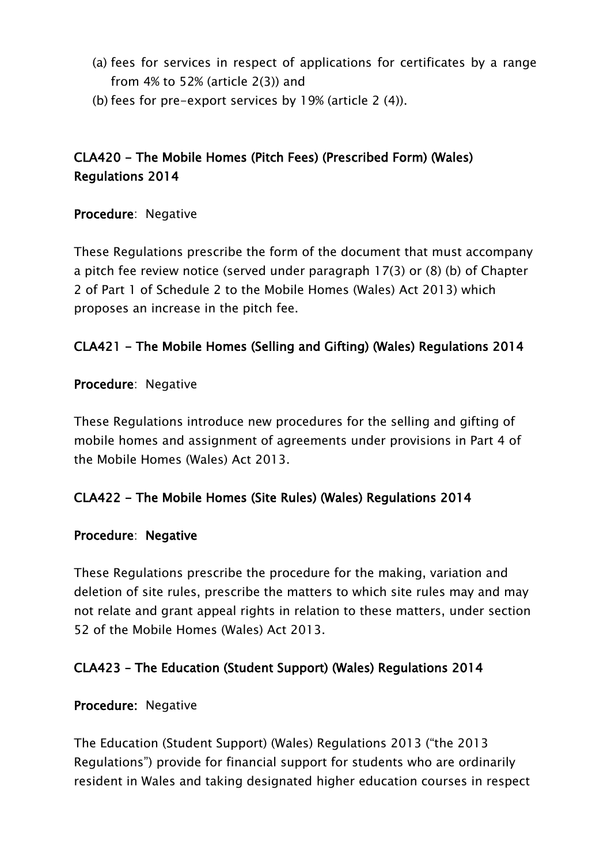- (a) fees for services in respect of applications for certificates by a range from 4% to 52% (article 2(3)) and
- (b) fees for pre-export services by 19% (article 2 (4)).

# CLA420 - The Mobile Homes (Pitch Fees) (Prescribed Form) (Wales) Regulations 2014

Procedure: Negative

These Regulations prescribe the form of the document that must accompany a pitch fee review notice (served under paragraph 17(3) or (8) (b) of Chapter 2 of Part 1 of Schedule 2 to the Mobile Homes (Wales) Act 2013) which proposes an increase in the pitch fee.

## CLA421 - The Mobile Homes (Selling and Gifting) (Wales) Regulations 2014

#### Procedure: Negative

These Regulations introduce new procedures for the selling and gifting of mobile homes and assignment of agreements under provisions in Part 4 of the Mobile Homes (Wales) Act 2013.

## CLA422 - The Mobile Homes (Site Rules) (Wales) Regulations 2014

#### Procedure: Negative

These Regulations prescribe the procedure for the making, variation and deletion of site rules, prescribe the matters to which site rules may and may not relate and grant appeal rights in relation to these matters, under section 52 of the Mobile Homes (Wales) Act 2013.

## CLA423 – The Education (Student Support) (Wales) Regulations 2014

#### Procedure: Negative

The Education (Student Support) (Wales) Regulations 2013 ("the 2013 Regulations") provide for financial support for students who are ordinarily resident in Wales and taking designated higher education courses in respect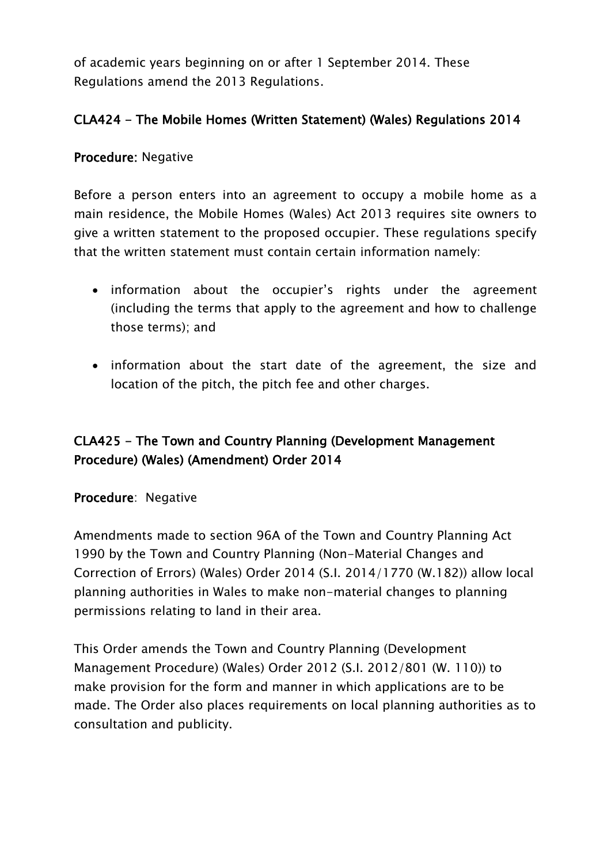of academic years beginning on or after 1 September 2014. These Regulations amend the 2013 Regulations.

## CLA424 - The Mobile Homes (Written Statement) (Wales) Regulations 2014

#### Procedure: Negative

Before a person enters into an agreement to occupy a mobile home as a main residence, the Mobile Homes (Wales) Act 2013 requires site owners to give a written statement to the proposed occupier. These regulations specify that the written statement must contain certain information namely:

- information about the occupier's rights under the agreement (including the terms that apply to the agreement and how to challenge those terms); and
- information about the start date of the agreement, the size and location of the pitch, the pitch fee and other charges.

## CLA425 - The Town and Country Planning (Development Management Procedure) (Wales) (Amendment) Order 2014

#### Procedure: Negative

Amendments made to section 96A of the Town and Country Planning Act 1990 by the Town and Country Planning (Non-Material Changes and Correction of Errors) (Wales) Order 2014 (S.I. 2014/1770 (W.182)) allow local planning authorities in Wales to make non-material changes to planning permissions relating to land in their area.

This Order amends the Town and Country Planning (Development Management Procedure) (Wales) Order 2012 (S.I. 2012/801 (W. 110)) to make provision for the form and manner in which applications are to be made. The Order also places requirements on local planning authorities as to consultation and publicity.